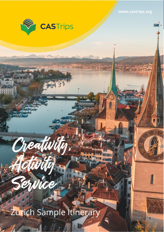www.castrips.org



Zurich Sample Itinerary

Creativă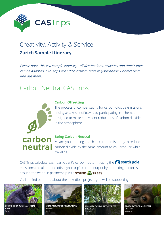

# Creativity, Activity & Service

#### **Zurich Sample Itinerary**

Please note, this is a sample itinerary - all destinations, activities and timeframes can be adapted. CAS Trips are 100% customizable to your needs. Contact us to find out more.

# Carbon Neutral CAS Trips



#### **Carbon Offsetting**

The process of compensating for carbon dioxide emissions arising as a result of travel, by participating in schemes designed to make equivalent reductions of carbon dioxide in the atmosphere.

#### **Being Carbon Neutral**

Means you do things, such as carbon offsetting, to reduce carbon dioxide by the same amount as you produce while traveling.

CAS Trips calculate each participant's carbon footprint using the **CO** south pole emissions calculator and offset your trip's carbon output by protecting rainforests around the world in partnership with  $STAND$   $\mathbb{A}$  TREES

Click to find out more about the incredible projects you will be supporting:



**CORDILLERA AZUL NATIONAL PARK** 



**AMAZON FOREST PROTECTION PROJECT** 



**MJUMITA COMMUNITY FOREST PROJECT** 



RIMBA RAYA ORANGUTAN **RESERVE**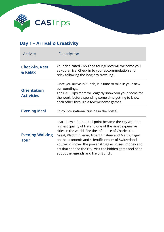

## **Day 1 – Arrival & Creativity**

| <b>Activity</b>                         | <b>Description</b>                                                                                                                                                                                                                                                                                                                                                                                                                                          |
|-----------------------------------------|-------------------------------------------------------------------------------------------------------------------------------------------------------------------------------------------------------------------------------------------------------------------------------------------------------------------------------------------------------------------------------------------------------------------------------------------------------------|
| <b>Check-in, Rest</b><br>& Relax        | Your dedicated CAS Trips tour guides will welcome you<br>as you arrive. Check in to your accommodation and<br>relax following the long day traveling.                                                                                                                                                                                                                                                                                                       |
| <b>Orientation</b><br><b>Activities</b> | Once you arrive in Zurich, it is time to take in your new<br>surroundings.<br>The CAS Trips team will eagerly show you your home for<br>the week, before spending some time getting to know<br>each other through a few welcome games.                                                                                                                                                                                                                      |
| <b>Evening Meal</b>                     | Enjoy international cuisine in the hostel.                                                                                                                                                                                                                                                                                                                                                                                                                  |
| <b>Evening Walking</b><br><b>Tour</b>   | Learn how a Roman toll point became the city with the<br>highest quality of life and one of the most expensive<br>cities in the world. See the influence of Charles the<br>Great, Vladimir Lenin, Albert Einstein and Marc Chagall<br>on the economic and scientific center of Switzerland.<br>You will discover the power struggles, ruses, money and<br>art that shaped the city. Visit the hidden gems and hear<br>about the legends and life of Zurich. |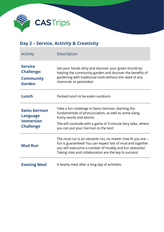

## **Day 2 – Service, Activity & Creativity**

| <b>Activity</b>                                                                | <b>Description</b>                                                                                                                                                                                                                            |
|--------------------------------------------------------------------------------|-----------------------------------------------------------------------------------------------------------------------------------------------------------------------------------------------------------------------------------------------|
| <b>Service</b><br><b>Challenge:</b><br><b>Community</b><br>Garden              | Get your hands dirty and discover your green thumb by<br>helping the community garden and discover the benefits of<br>gardening with traditional tools without the need of any<br>chemicals or pesticides!                                    |
| Lunch                                                                          | Packed lunch to be eaten outdoors                                                                                                                                                                                                             |
| <b>Swiss German</b><br><b>Language</b><br><b>Immersion</b><br><b>Challenge</b> | Take a fun challenge in Swiss German, learning the<br>fundamentals of pronunciation, as well as some slang,<br>funny words and idioms.                                                                                                        |
|                                                                                | The will conclude with a game of 3-minute fairy tales, where<br>you can put your German to the test!                                                                                                                                          |
| <b>Mud Run</b>                                                                 | The mud run is an obstacle run, no matter how fit you are -<br>fun is guaranteed! You can expect lots of mud and together<br>you will overcome a number of muddy and fun obstacles!<br>Taking risks and collaboration are the key to success! |
| <b>Evening Meal</b>                                                            | A hearty meal after a long day of activities.                                                                                                                                                                                                 |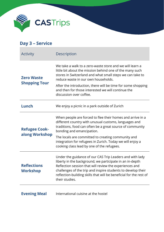

#### **Day 3 – Service** Activity Description **Zero Waste Shopping Tour** We take a walk to a zero-waste store and we will learn a little bit about the mission behind one of the many such stores in Switzerland and what small steps we can take to reduce waste in our own households. After the introduction, there will be time for some shopping and then for those interested we will continue the discussion over coffee. **Lunch** We enjoy a picnic in a park outside of Zurich **Refugee Cookalong Workshop** When people are forced to flee their homes and arrive in a different country with unusual customs, languages and traditions, food can often be a great source of community bonding and emancipation. The locals are committed to creating community and integration for refugees in Zurich. Today we will enjoy a cooking class lead by one of the refugees. **Reflections Workshop** Under the guidance of our CAS Trip Leaders and with lady liberty in the background, we participate in an in-depth Reflection session that will review the experiences and challenges of the trip and inspire students to develop their reflection-building skills that will be beneficial for the rest of their studies. **Evening Meal** International cuisine at the hostel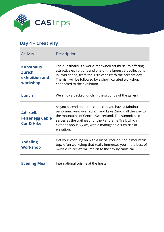

## **Day 4 – Creativity**

| <b>Activity</b>                                                     | <b>Description</b>                                                                                                                                                                                                                                                                                         |
|---------------------------------------------------------------------|------------------------------------------------------------------------------------------------------------------------------------------------------------------------------------------------------------------------------------------------------------------------------------------------------------|
| <b>Kunsthaus</b><br><b>Zürich</b><br>exhibition and<br>workshop     | The Kunsthaus is a world-renowned art museum offering<br>attractive exhibitions and one of the largest art collections<br>in Switzerland, from the 13th century to the present day.<br>The visit will be followed by a short, curated workshop<br>connected to the exhibition                              |
| Lunch                                                               | We enjoy a packed lunch in the grounds of the gallery                                                                                                                                                                                                                                                      |
| <b>Adliswil-</b><br><b>Felsenegg Cable</b><br><b>Car &amp; Hike</b> | As you ascend up in the cable car, you have a fabulous<br>panoramic view over Zurich and Lake Zurich, all the way to<br>the mountains of Central Switzerland. The summit also<br>serves as the trailhead for the Panorama Trail, which<br>extends about 5.7km, with a manageable 90m rise in<br>elevation. |
| <b>Yodeling</b><br><b>Workshop</b>                                  | Get your yodeling on with a bit of "yodl-ahi" on a mountain<br>top. A fun workshop that really immerses you in the best of<br>Swiss culture! We will return to the city by cable car.                                                                                                                      |
| <b>Evening Meal</b>                                                 | International cuisine at the hostel                                                                                                                                                                                                                                                                        |